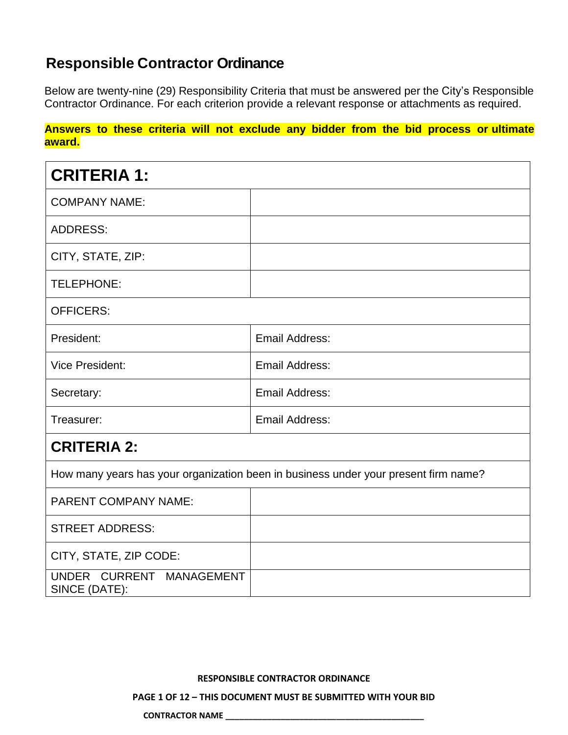## **Responsible Contractor Ordinance**

Below are twenty-nine (29) Responsibility Criteria that must be answered per the City's Responsible Contractor Ordinance. For each criterion provide a relevant response or attachments as required.

**Answers to these criteria will not exclude any bidder from the bid process or ultimate award.**

| <b>CRITERIA 1:</b>                                                                  |                       |  |
|-------------------------------------------------------------------------------------|-----------------------|--|
| <b>COMPANY NAME:</b>                                                                |                       |  |
| <b>ADDRESS:</b>                                                                     |                       |  |
| CITY, STATE, ZIP:                                                                   |                       |  |
| TELEPHONE:                                                                          |                       |  |
| <b>OFFICERS:</b>                                                                    |                       |  |
| President:                                                                          | Email Address:        |  |
| <b>Vice President:</b>                                                              | <b>Email Address:</b> |  |
| Secretary:                                                                          | <b>Email Address:</b> |  |
| Treasurer:                                                                          | <b>Email Address:</b> |  |
| <b>CRITERIA 2:</b>                                                                  |                       |  |
| How many years has your organization been in business under your present firm name? |                       |  |
| <b>PARENT COMPANY NAME:</b>                                                         |                       |  |
| <b>STREET ADDRESS:</b>                                                              |                       |  |
| CITY, STATE, ZIP CODE:                                                              |                       |  |
| UNDER CURRENT MANAGEMENT<br>SINCE (DATE):                                           |                       |  |

### **RESPONSIBLE CONTRACTOR ORDINANCE**

**PAGE 1 OF 12 – THIS DOCUMENT MUST BE SUBMITTED WITH YOUR BID**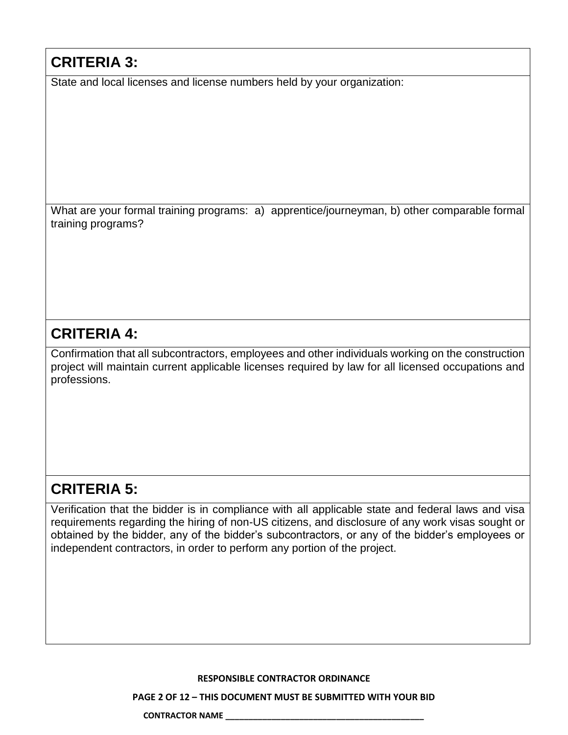# **CRITERIA 3:**

State and local licenses and license numbers held by your organization:

What are your formal training programs: a) apprentice/journeyman, b) other comparable formal training programs?

## **CRITERIA 4:**

Confirmation that all subcontractors, employees and other individuals working on the construction project will maintain current applicable licenses required by law for all licensed occupations and professions.

# **CRITERIA 5:**

Verification that the bidder is in compliance with all applicable state and federal laws and visa requirements regarding the hiring of non-US citizens, and disclosure of any work visas sought or obtained by the bidder, any of the bidder's subcontractors, or any of the bidder's employees or independent contractors, in order to perform any portion of the project.

### **RESPONSIBLE CONTRACTOR ORDINANCE**

**PAGE 2 OF 12 – THIS DOCUMENT MUST BE SUBMITTED WITH YOUR BID**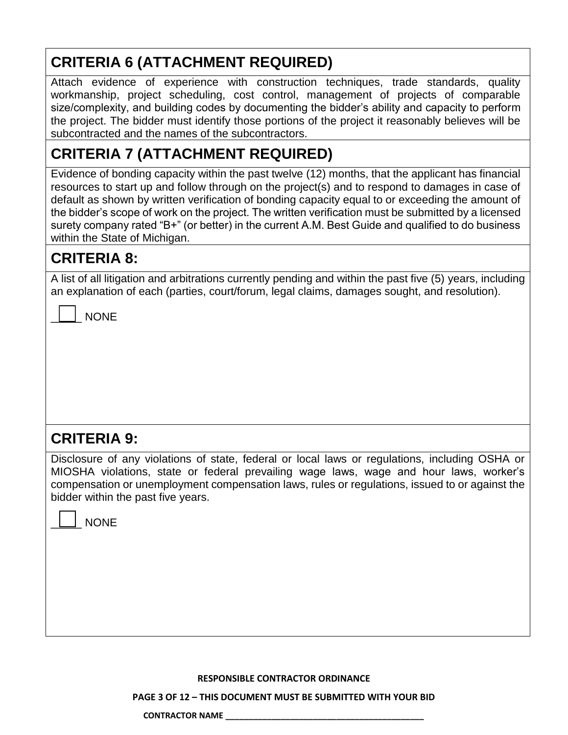# **CRITERIA 6 (ATTACHMENT REQUIRED)**

Attach evidence of experience with construction techniques, trade standards, quality workmanship, project scheduling, cost control, management of projects of comparable size/complexity, and building codes by documenting the bidder's ability and capacity to perform the project. The bidder must identify those portions of the project it reasonably believes will be subcontracted and the names of the subcontractors.

# **CRITERIA 7 (ATTACHMENT REQUIRED)**

Evidence of bonding capacity within the past twelve (12) months, that the applicant has financial resources to start up and follow through on the project(s) and to respond to damages in case of default as shown by written verification of bonding capacity equal to or exceeding the amount of the bidder's scope of work on the project. The written verification must be submitted by a licensed surety company rated "B+" (or better) in the current A.M. Best Guide and qualified to do business within the State of Michigan.

# **CRITERIA 8:**

A list of all litigation and arbitrations currently pending and within the past five (5) years, including an explanation of each (parties, court/forum, legal claims, damages sought, and resolution).

| NONF |
|------|
|------|

## **CRITERIA 9:**

Disclosure of any violations of state, federal or local laws or regulations, including OSHA or MIOSHA violations, state or federal prevailing wage laws, wage and hour laws, worker's compensation or unemployment compensation laws, rules or regulations, issued to or against the bidder within the past five years.

|  | NON |
|--|-----|
|--|-----|

**RESPONSIBLE CONTRACTOR ORDINANCE**

**PAGE 3 OF 12 – THIS DOCUMENT MUST BE SUBMITTED WITH YOUR BID**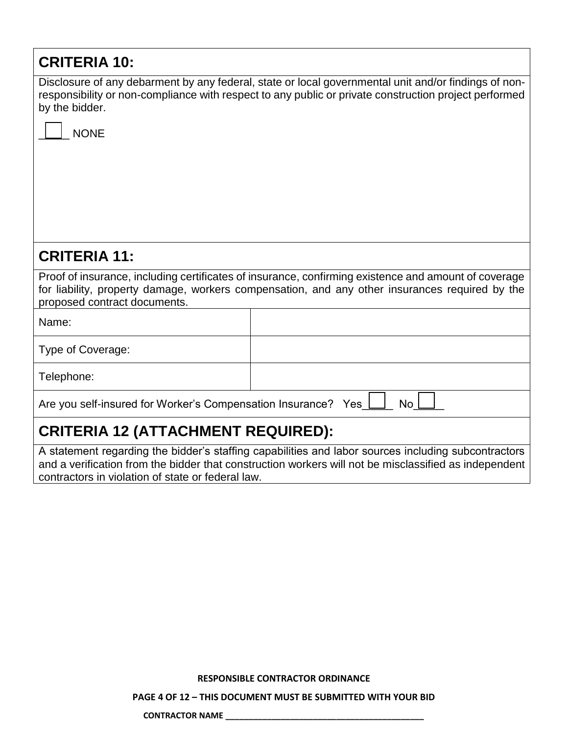| <b>CRITERIA 10:</b>                                                                                                                                                                                                                                               |  |  |
|-------------------------------------------------------------------------------------------------------------------------------------------------------------------------------------------------------------------------------------------------------------------|--|--|
| Disclosure of any debarment by any federal, state or local governmental unit and/or findings of non-<br>responsibility or non-compliance with respect to any public or private construction project performed<br>by the bidder.                                   |  |  |
| <b>NONE</b>                                                                                                                                                                                                                                                       |  |  |
|                                                                                                                                                                                                                                                                   |  |  |
|                                                                                                                                                                                                                                                                   |  |  |
|                                                                                                                                                                                                                                                                   |  |  |
| <b>CRITERIA 11:</b>                                                                                                                                                                                                                                               |  |  |
| Proof of insurance, including certificates of insurance, confirming existence and amount of coverage<br>for liability, property damage, workers compensation, and any other insurances required by the<br>proposed contract documents.                            |  |  |
| Name:                                                                                                                                                                                                                                                             |  |  |
| Type of Coverage:                                                                                                                                                                                                                                                 |  |  |
| Telephone:                                                                                                                                                                                                                                                        |  |  |
| Are you self-insured for Worker's Compensation Insurance? Yes<br><b>No</b>                                                                                                                                                                                        |  |  |
| <b>CRITERIA 12 (ATTACHMENT REQUIRED):</b>                                                                                                                                                                                                                         |  |  |
| A statement regarding the bidder's staffing capabilities and labor sources including subcontractors<br>and a verification from the bidder that construction workers will not be misclassified as independent<br>contractors in violation of state or federal law. |  |  |

**RESPONSIBLE CONTRACTOR ORDINANCE**

**PAGE 4 OF 12 – THIS DOCUMENT MUST BE SUBMITTED WITH YOUR BID**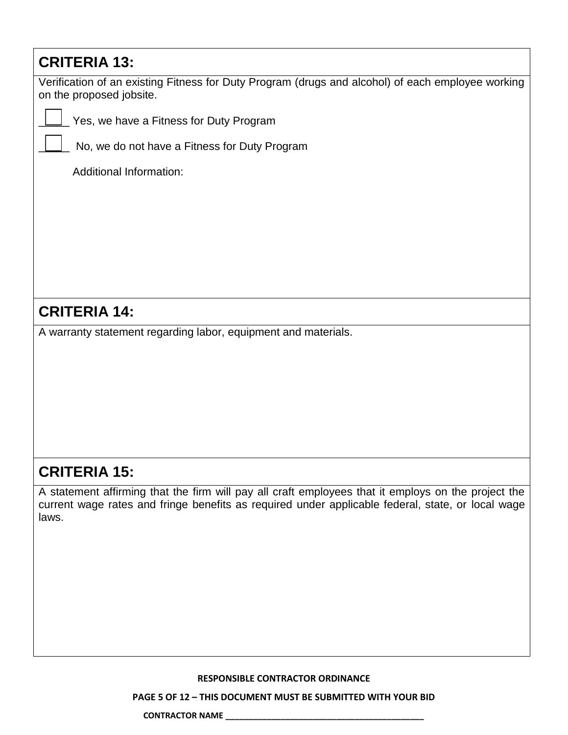## **CRITERIA 13:**

Verification of an existing Fitness for Duty Program (drugs and alcohol) of each employee working on the proposed jobsite.

\_\_\_\_\_ Yes, we have a Fitness for Duty Program

No, we do not have a Fitness for Duty Program

Additional Information:

## **CRITERIA 14:**

A warranty statement regarding labor, equipment and materials.

# **CRITERIA 15:**

A statement affirming that the firm will pay all craft employees that it employs on the project the current wage rates and fringe benefits as required under applicable federal, state, or local wage laws.

### **RESPONSIBLE CONTRACTOR ORDINANCE**

**PAGE 5 OF 12 – THIS DOCUMENT MUST BE SUBMITTED WITH YOUR BID**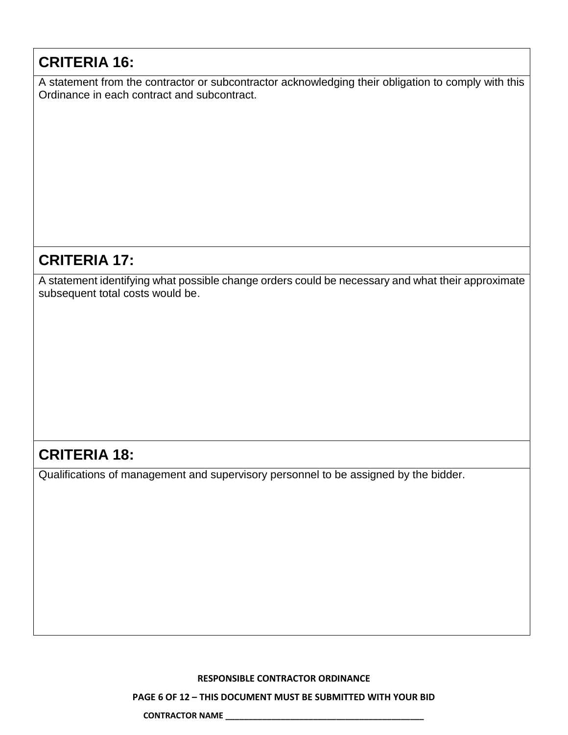## **CRITERIA 16:**

A statement from the contractor or subcontractor acknowledging their obligation to comply with this Ordinance in each contract and subcontract.

# **CRITERIA 17:**

A statement identifying what possible change orders could be necessary and what their approximate subsequent total costs would be.

## **CRITERIA 18:**

Qualifications of management and supervisory personnel to be assigned by the bidder.

**RESPONSIBLE CONTRACTOR ORDINANCE**

**PAGE 6 OF 12 – THIS DOCUMENT MUST BE SUBMITTED WITH YOUR BID**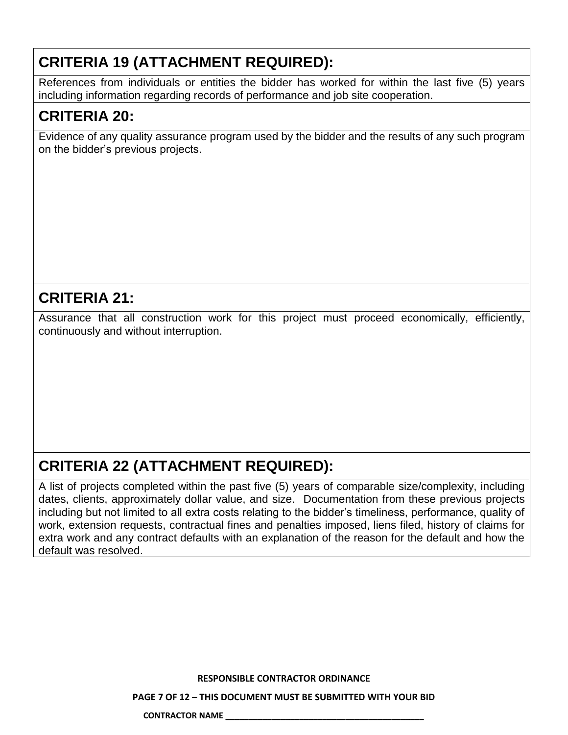# **CRITERIA 19 (ATTACHMENT REQUIRED):**

References from individuals or entities the bidder has worked for within the last five (5) years including information regarding records of performance and job site cooperation.

# **CRITERIA 20:**

Evidence of any quality assurance program used by the bidder and the results of any such program on the bidder's previous projects.

### **CRITERIA 21:**

Assurance that all construction work for this project must proceed economically, efficiently, continuously and without interruption.

# **CRITERIA 22 (ATTACHMENT REQUIRED):**

A list of projects completed within the past five (5) years of comparable size/complexity, including dates, clients, approximately dollar value, and size. Documentation from these previous projects including but not limited to all extra costs relating to the bidder's timeliness, performance, quality of work, extension requests, contractual fines and penalties imposed, liens filed, history of claims for extra work and any contract defaults with an explanation of the reason for the default and how the default was resolved.

**RESPONSIBLE CONTRACTOR ORDINANCE**

**PAGE 7 OF 12 – THIS DOCUMENT MUST BE SUBMITTED WITH YOUR BID**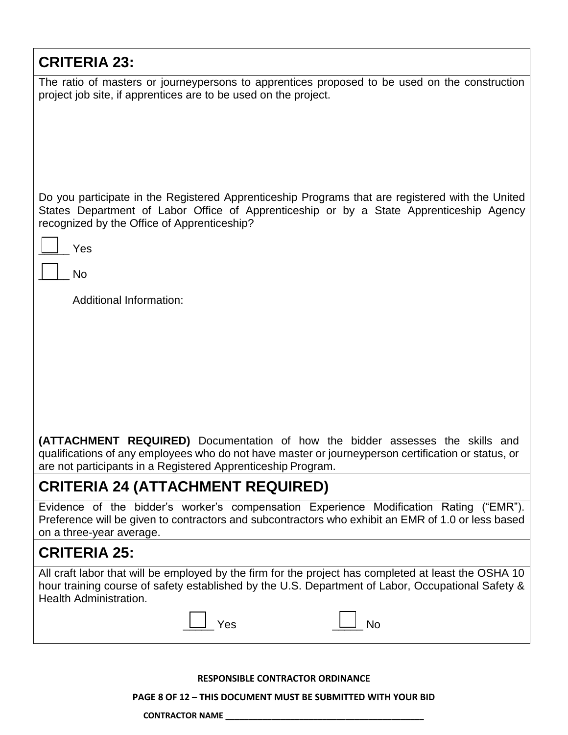| <b>CRITERIA 23:</b>                                                                                                                                                                                                                                  |  |  |
|------------------------------------------------------------------------------------------------------------------------------------------------------------------------------------------------------------------------------------------------------|--|--|
| The ratio of masters or journeypersons to apprentices proposed to be used on the construction<br>project job site, if apprentices are to be used on the project.                                                                                     |  |  |
| Do you participate in the Registered Apprenticeship Programs that are registered with the United<br>States Department of Labor Office of Apprenticeship or by a State Apprenticeship Agency<br>recognized by the Office of Apprenticeship?           |  |  |
| Yes                                                                                                                                                                                                                                                  |  |  |
| <b>No</b>                                                                                                                                                                                                                                            |  |  |
| <b>Additional Information:</b>                                                                                                                                                                                                                       |  |  |
|                                                                                                                                                                                                                                                      |  |  |
|                                                                                                                                                                                                                                                      |  |  |
|                                                                                                                                                                                                                                                      |  |  |
|                                                                                                                                                                                                                                                      |  |  |
| (ATTACHMENT REQUIRED) Documentation of how the bidder assesses the skills and<br>qualifications of any employees who do not have master or journeyperson certification or status, or<br>are not participants in a Registered Apprenticeship Program. |  |  |
| <b>CRITERIA 24 (ATTACHMENT REQUIRED)</b>                                                                                                                                                                                                             |  |  |
| Evidence of the bidder's worker's compensation Experience Modification Rating ("EMR").<br>Preference will be given to contractors and subcontractors who exhibit an EMR of 1.0 or less based<br>on a three-year average.                             |  |  |
| <b>CRITERIA 25:</b>                                                                                                                                                                                                                                  |  |  |
| All craft labor that will be employed by the firm for the project has completed at least the OSHA 10<br>hour training course of safety established by the U.S. Department of Labor, Occupational Safety &<br>Health Administration.                  |  |  |
| Yes<br><b>No</b>                                                                                                                                                                                                                                     |  |  |

**RESPONSIBLE CONTRACTOR ORDINANCE**

**PAGE 8 OF 12 – THIS DOCUMENT MUST BE SUBMITTED WITH YOUR BID**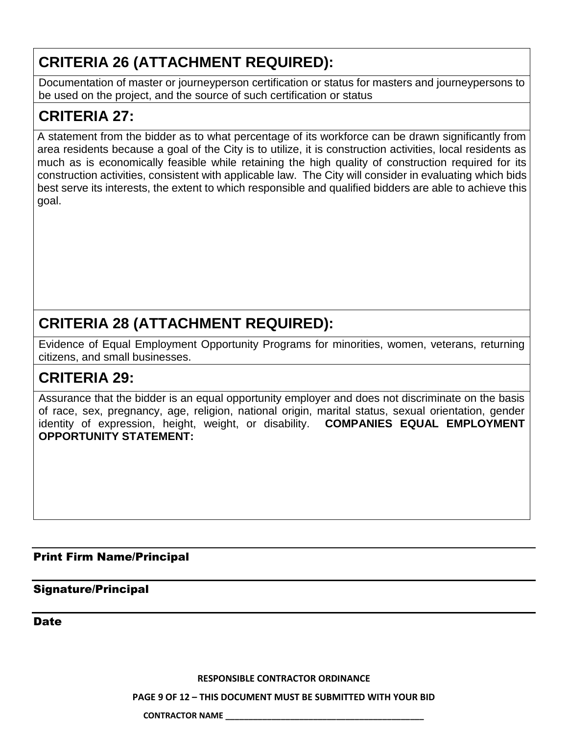# **CRITERIA 26 (ATTACHMENT REQUIRED):**

Documentation of master or journeyperson certification or status for masters and journeypersons to be used on the project, and the source of such certification or status

# **CRITERIA 27:**

A statement from the bidder as to what percentage of its workforce can be drawn significantly from area residents because a goal of the City is to utilize, it is construction activities, local residents as much as is economically feasible while retaining the high quality of construction required for its construction activities, consistent with applicable law. The City will consider in evaluating which bids best serve its interests, the extent to which responsible and qualified bidders are able to achieve this goal.

# **CRITERIA 28 (ATTACHMENT REQUIRED):**

Evidence of Equal Employment Opportunity Programs for minorities, women, veterans, returning citizens, and small businesses.

# **CRITERIA 29:**

Assurance that the bidder is an equal opportunity employer and does not discriminate on the basis of race, sex, pregnancy, age, religion, national origin, marital status, sexual orientation, gender identity of expression, height, weight, or disability. **COMPANIES EQUAL EMPLOYMENT OPPORTUNITY STATEMENT:**

### Print Firm Name/Principal

### Signature/Principal

Date

**RESPONSIBLE CONTRACTOR ORDINANCE**

**PAGE 9 OF 12 – THIS DOCUMENT MUST BE SUBMITTED WITH YOUR BID**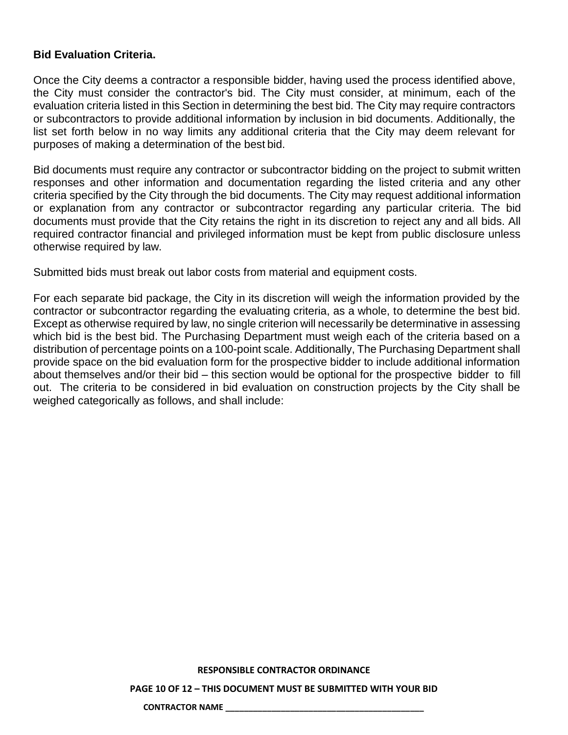### **Bid Evaluation Criteria.**

Once the City deems a contractor a responsible bidder, having used the process identified above, the City must consider the contractor's bid. The City must consider, at minimum, each of the evaluation criteria listed in this Section in determining the best bid. The City may require contractors or subcontractors to provide additional information by inclusion in bid documents. Additionally, the list set forth below in no way limits any additional criteria that the City may deem relevant for purposes of making a determination of the best bid.

Bid documents must require any contractor or subcontractor bidding on the project to submit written responses and other information and documentation regarding the listed criteria and any other criteria specified by the City through the bid documents. The City may request additional information or explanation from any contractor or subcontractor regarding any particular criteria. The bid documents must provide that the City retains the right in its discretion to reject any and all bids. All required contractor financial and privileged information must be kept from public disclosure unless otherwise required by law.

Submitted bids must break out labor costs from material and equipment costs.

For each separate bid package, the City in its discretion will weigh the information provided by the contractor or subcontractor regarding the evaluating criteria, as a whole, to determine the best bid. Except as otherwise required by law, no single criterion will necessarily be determinative in assessing which bid is the best bid. The Purchasing Department must weigh each of the criteria based on a distribution of percentage points on a 100-point scale. Additionally, The Purchasing Department shall provide space on the bid evaluation form for the prospective bidder to include additional information about themselves and/or their bid – this section would be optional for the prospective bidder to fill out. The criteria to be considered in bid evaluation on construction projects by the City shall be weighed categorically as follows, and shall include:

#### **RESPONSIBLE CONTRACTOR ORDINANCE**

**PAGE 10 OF 12 – THIS DOCUMENT MUST BE SUBMITTED WITH YOUR BID**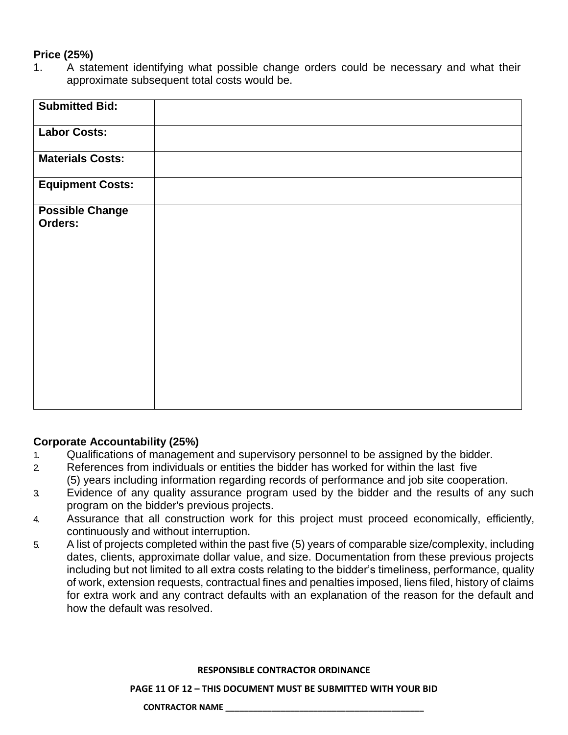### **Price (25%)**

1. A statement identifying what possible change orders could be necessary and what their approximate subsequent total costs would be.

| <b>Submitted Bid:</b>   |  |
|-------------------------|--|
| <b>Labor Costs:</b>     |  |
| <b>Materials Costs:</b> |  |
| <b>Equipment Costs:</b> |  |
| <b>Possible Change</b>  |  |
| Orders:                 |  |
|                         |  |
|                         |  |
|                         |  |
|                         |  |
|                         |  |
|                         |  |
|                         |  |
|                         |  |
|                         |  |
|                         |  |
|                         |  |
|                         |  |

### **Corporate Accountability (25%)**

- 1. Qualifications of management and supervisory personnel to be assigned by the bidder.
- 2. References from individuals or entities the bidder has worked for within the last five (5) years including information regarding records of performance and job site cooperation.
- 3. Evidence of any quality assurance program used by the bidder and the results of any such program on the bidder's previous projects.
- 4. Assurance that all construction work for this project must proceed economically, efficiently, continuously and without interruption.
- 5. A list of projects completed within the past five (5) years of comparable size/complexity, including dates, clients, approximate dollar value, and size. Documentation from these previous projects including but not limited to all extra costs relating to the bidder's timeliness, performance, quality of work, extension requests, contractual fines and penalties imposed, liens filed, history of claims for extra work and any contract defaults with an explanation of the reason for the default and how the default was resolved.

### **RESPONSIBLE CONTRACTOR ORDINANCE**

**PAGE 11 OF 12 – THIS DOCUMENT MUST BE SUBMITTED WITH YOUR BID**